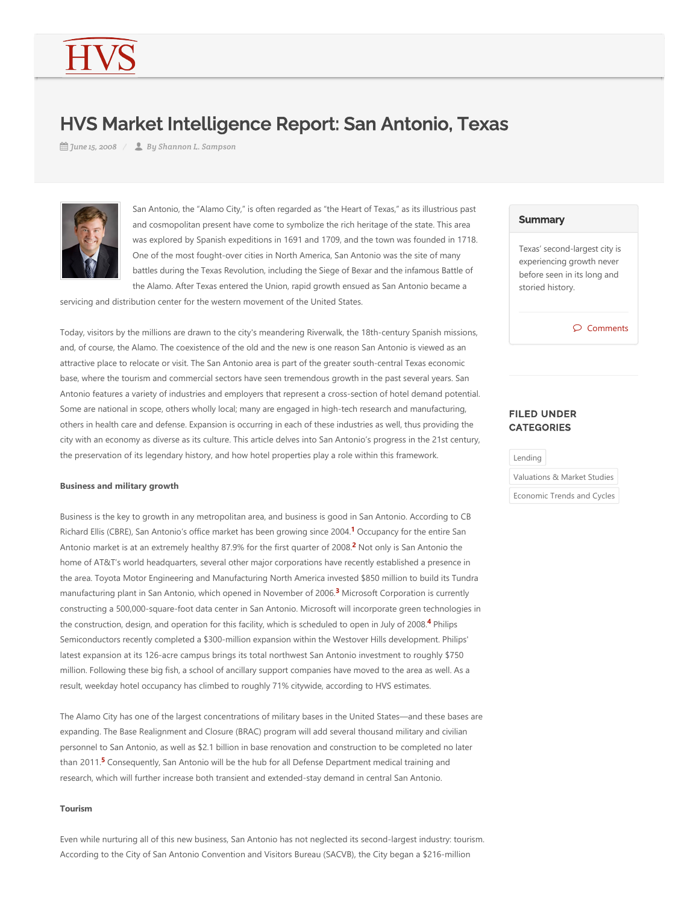# HVS Market Intelligence Report: San Antonio, Texas

*June 15, 2008 By Shannon L. Sampson*



San Antonio, the "Alamo City," is often regarded as "the Heart of Texas," as its illustrious past and cosmopolitan present have come to symbolize the rich heritage of the state. This area was explored by Spanish expeditions in 1691 and 1709, and the town was founded in 1718. One of the most fought‐over cities in North America, San Antonio was the site of many battles during the Texas Revolution, including the Siege of Bexar and the infamous Battle of the Alamo. After Texas entered the Union, rapid growth ensued as San Antonio became a

servicing and distribution center for the western movement of the United States.

Today, visitors by the millions are drawn to the city's meandering Riverwalk, the 18th‐century Spanish missions, and, of course, the Alamo. The coexistence of the old and the new is one reason San Antonio is viewed as an attractive place to relocate or visit. The San Antonio area is part of the greater south‐central Texas economic base, where the tourism and commercial sectors have seen tremendous growth in the past several years. San Antonio features a variety of industries and employers that represent a cross‐section of hotel demand potential. Some are national in scope, others wholly local; many are engaged in high-tech research and manufacturing, others in health care and defense. Expansion is occurring in each of these industries as well, thus providing the city with an economy as diverse as its culture. This article delves into San Antonio's progress in the 21st century, the preservation of its legendary history, and how hotel properties play a role within this framework.

#### **Business and military growth**

Business is the key to growth in any metropolitan area, and business is good in San Antonio. According to CB Richard Ellis (CBRE), San Antonio's office market has been growing since 2004.<sup>[1](#page-2-0)</sup> Occupancy for the entire San Antonio market is at an extremely healthy 87.9% for the first quarter of [2](#page-2-1)008.<sup>2</sup> Not only is San Antonio the home of AT&T's world headquarters, several other major corporations have recently established a presence in the area. Toyota Motor Engineering and Manufacturing North America invested \$850 million to build its Tundra manufacturing plant in San Antonio, which opened in November of 2006.<sup>[3](#page-2-2)</sup> Microsoft Corporation is currently constructing a 500,000‐square‐foot data center in San Antonio. Microsoft will incorporate green technologies in the construction, design, and operation for this facility, which is scheduled to open in July of 2008.<sup>[4](#page-2-3)</sup> Philips Semiconductors recently completed a \$300‐million expansion within the Westover Hills development. Philips' latest expansion at its 126‐acre campus brings its total northwest San Antonio investment to roughly \$750 million. Following these big fish, a school of ancillary support companies have moved to the area as well. As a result, weekday hotel occupancy has climbed to roughly 71% citywide, according to HVS estimates.

The Alamo City has one of the largest concentrations of military bases in the United States—and these bases are expanding. The Base Realignment and Closure (BRAC) program will add several thousand military and civilian personnel to San Antonio, as well as \$2.1 billion in base renovation and construction to be completed no later than 2011.<sup>[5](#page-2-4)</sup> Consequently, San Antonio will be the hub for all Defense Department medical training and research, which will further increase both transient and extended‐stay demand in central San Antonio.

## **Tourism**

Even while nurturing all of this new business, San Antonio has not neglected its second‐largest industry: tourism. According to the City of San Antonio Convention and Visitors Bureau (SACVB), the City began a \$216-million

#### **Summary**

Texas' second‐largest city is experiencing growth never before seen in its long and storied history.

Comments

## FILED UNDER **CATEGORIES**



Economic Trends and Cycles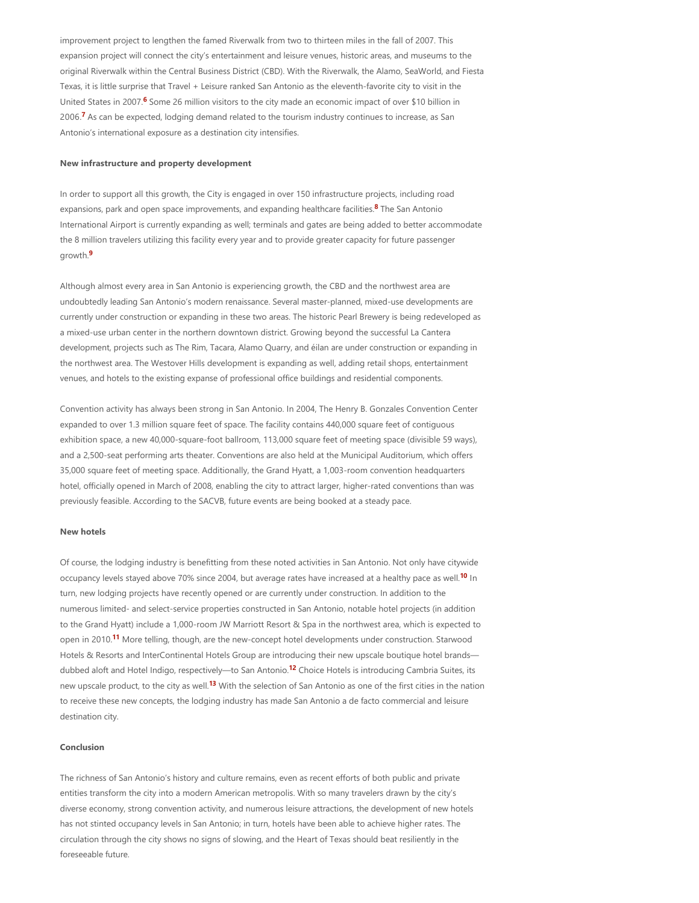improvement project to lengthen the famed Riverwalk from two to thirteen miles in the fall of 2007. This expansion project will connect the city's entertainment and leisure venues, historic areas, and museums to the original Riverwalk within the Central Business District (CBD). With the Riverwalk, the Alamo, SeaWorld, and Fiesta Texas, it is little surprise that Travel + Leisure ranked San Antonio as the eleventh‐favorite city to visit in the United States in 2007.<sup>[6](#page-2-5)</sup> Some 26 million visitors to the city made an economic impact of over \$10 billion in 2006.<sup>[7](#page-2-6)</sup> As can be expected, lodging demand related to the tourism industry continues to increase, as San Antonio's international exposure as a destination city intensifies.

### **New infrastructure and property development**

In order to support all this growth, the City is engaged in over 150 infrastructure projects, including road expansions, park and open space improvements, and expanding healthcare facilities.<sup>[8](#page-2-7)</sup> The San Antonio International Airport is currently expanding as well; terminals and gates are being added to better accommodate the 8 million travelers utilizing this facility every year and to provide greater capacity for future passenger growth. **[9](#page-2-8)**

Although almost every area in San Antonio is experiencing growth, the CBD and the northwest area are undoubtedly leading San Antonio's modern renaissance. Several master‐planned, mixed‐use developments are currently under construction or expanding in these two areas. The historic Pearl Brewery is being redeveloped as a mixed-use urban center in the northern downtown district. Growing beyond the successful La Cantera development, projects such as The Rim, Tacara, Alamo Quarry, and éilan are under construction or expanding in the northwest area. The Westover Hills development is expanding as well, adding retail shops, entertainment venues, and hotels to the existing expanse of professional office buildings and residential components.

Convention activity has always been strong in San Antonio. In 2004, The Henry B. Gonzales Convention Center expanded to over 1.3 million square feet of space. The facility contains 440,000 square feet of contiguous exhibition space, a new 40,000-square-foot ballroom, 113,000 square feet of meeting space (divisible 59 ways), and a 2,500-seat performing arts theater. Conventions are also held at the Municipal Auditorium, which offers 35,000 square feet of meeting space. Additionally, the Grand Hyatt, a 1,003‐room convention headquarters hotel, officially opened in March of 2008, enabling the city to attract larger, higher-rated conventions than was previously feasible. According to the SACVB, future events are being booked at a steady pace.

#### **New hotels**

Of course, the lodging industry is benefitting from these noted activities in San Antonio. Not only have citywide occupancy levels stayed above 70% since 2004, but average rates have increased at a healthy pace as well.<sup>[10](#page-2-9)</sup> In turn, new lodging projects have recently opened or are currently under construction. In addition to the numerous limited- and select-service properties constructed in San Antonio, notable hotel projects (in addition to the Grand Hyatt) include a 1,000-room JW Marriott Resort & Spa in the northwest area, which is expected to open in 2010.<sup>[11](#page-2-10)</sup> More telling, though, are the new-concept hotel developments under construction. Starwood Hotels & Resorts and InterContinental Hotels Group are introducing their new upscale boutique hotel brands— dubbed aloft and Hotel Indigo, respectively—to San Antonio.<sup>[12](#page-2-11)</sup> Choice Hotels is introducing Cambria Suites, its new upscale product, to the city as well.<sup>[13](#page-2-12)</sup> With the selection of San Antonio as one of the first cities in the nation to receive these new concepts, the lodging industry has made San Antonio a de facto commercial and leisure destination city.

## **Conclusion**

The richness of San Antonio's history and culture remains, even as recent efforts of both public and private entities transform the city into a modern American metropolis. With so many travelers drawn by the city's diverse economy, strong convention activity, and numerous leisure attractions, the development of new hotels has not stinted occupancy levels in San Antonio; in turn, hotels have been able to achieve higher rates. The circulation through the city shows no signs of slowing, and the Heart of Texas should beat resiliently in the foreseeable future.